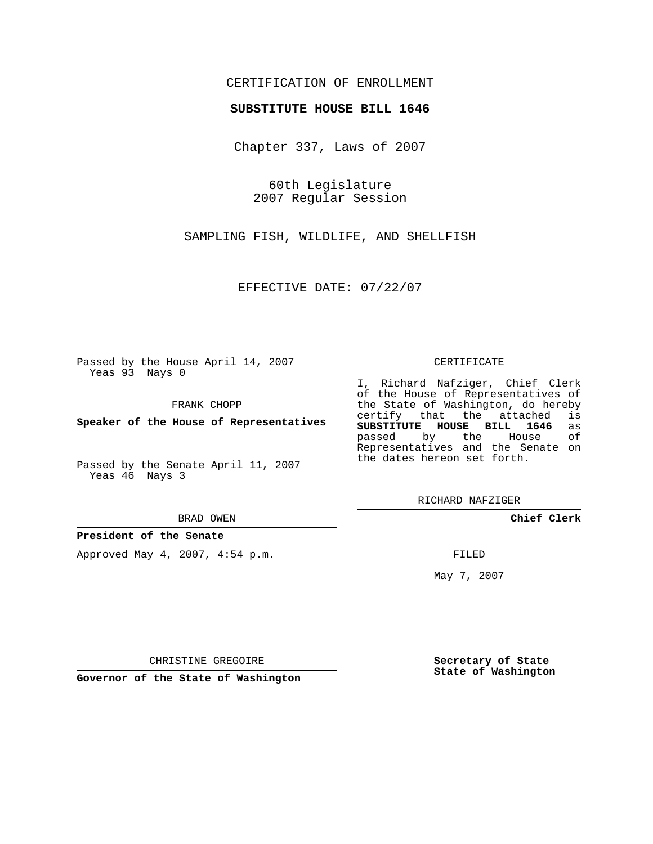### CERTIFICATION OF ENROLLMENT

#### **SUBSTITUTE HOUSE BILL 1646**

Chapter 337, Laws of 2007

60th Legislature 2007 Regular Session

SAMPLING FISH, WILDLIFE, AND SHELLFISH

EFFECTIVE DATE: 07/22/07

Passed by the House April 14, 2007 Yeas 93 Nays 0

FRANK CHOPP

**Speaker of the House of Representatives**

Passed by the Senate April 11, 2007 Yeas 46 Nays 3

#### BRAD OWEN

**President of the Senate**

Approved May 4, 2007, 4:54 p.m.

#### CERTIFICATE

I, Richard Nafziger, Chief Clerk of the House of Representatives of the State of Washington, do hereby<br>certify that the attached is certify that the attached **SUBSTITUTE HOUSE BILL 1646** as passed by the House Representatives and the Senate on the dates hereon set forth.

RICHARD NAFZIGER

**Chief Clerk**

FILED

May 7, 2007

**Secretary of State State of Washington**

CHRISTINE GREGOIRE

**Governor of the State of Washington**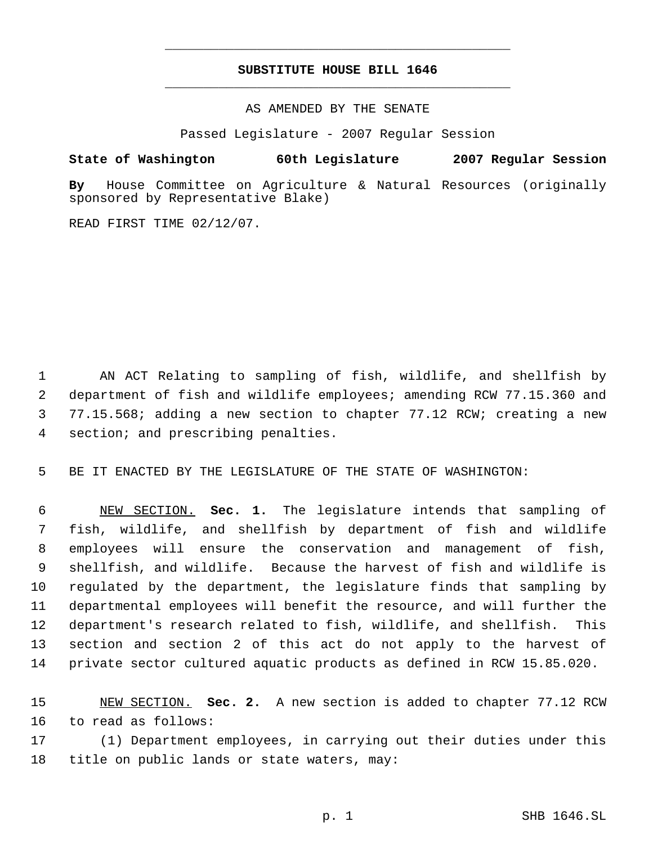### **SUBSTITUTE HOUSE BILL 1646** \_\_\_\_\_\_\_\_\_\_\_\_\_\_\_\_\_\_\_\_\_\_\_\_\_\_\_\_\_\_\_\_\_\_\_\_\_\_\_\_\_\_\_\_\_

\_\_\_\_\_\_\_\_\_\_\_\_\_\_\_\_\_\_\_\_\_\_\_\_\_\_\_\_\_\_\_\_\_\_\_\_\_\_\_\_\_\_\_\_\_

AS AMENDED BY THE SENATE

Passed Legislature - 2007 Regular Session

### **State of Washington 60th Legislature 2007 Regular Session**

**By** House Committee on Agriculture & Natural Resources (originally sponsored by Representative Blake)

READ FIRST TIME 02/12/07.

 AN ACT Relating to sampling of fish, wildlife, and shellfish by department of fish and wildlife employees; amending RCW 77.15.360 and 77.15.568; adding a new section to chapter 77.12 RCW; creating a new section; and prescribing penalties.

BE IT ENACTED BY THE LEGISLATURE OF THE STATE OF WASHINGTON:

 NEW SECTION. **Sec. 1.** The legislature intends that sampling of fish, wildlife, and shellfish by department of fish and wildlife employees will ensure the conservation and management of fish, shellfish, and wildlife. Because the harvest of fish and wildlife is regulated by the department, the legislature finds that sampling by departmental employees will benefit the resource, and will further the department's research related to fish, wildlife, and shellfish. This section and section 2 of this act do not apply to the harvest of private sector cultured aquatic products as defined in RCW 15.85.020.

 NEW SECTION. **Sec. 2.** A new section is added to chapter 77.12 RCW to read as follows:

 (1) Department employees, in carrying out their duties under this title on public lands or state waters, may: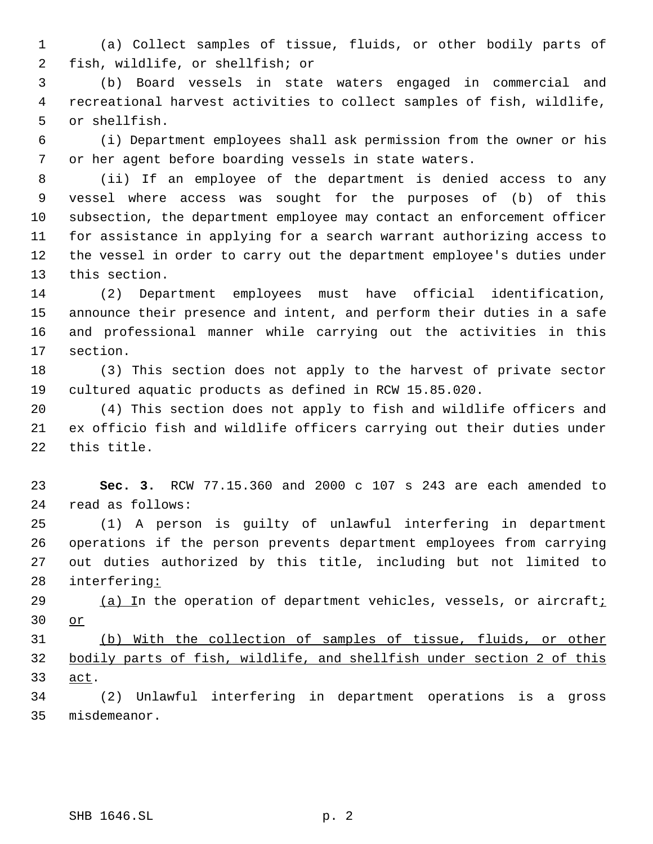(a) Collect samples of tissue, fluids, or other bodily parts of fish, wildlife, or shellfish; or

 (b) Board vessels in state waters engaged in commercial and recreational harvest activities to collect samples of fish, wildlife, or shellfish.

 (i) Department employees shall ask permission from the owner or his or her agent before boarding vessels in state waters.

 (ii) If an employee of the department is denied access to any vessel where access was sought for the purposes of (b) of this subsection, the department employee may contact an enforcement officer for assistance in applying for a search warrant authorizing access to the vessel in order to carry out the department employee's duties under this section.

 (2) Department employees must have official identification, announce their presence and intent, and perform their duties in a safe and professional manner while carrying out the activities in this section.

 (3) This section does not apply to the harvest of private sector cultured aquatic products as defined in RCW 15.85.020.

 (4) This section does not apply to fish and wildlife officers and ex officio fish and wildlife officers carrying out their duties under this title.

 **Sec. 3.** RCW 77.15.360 and 2000 c 107 s 243 are each amended to read as follows:

 (1) A person is guilty of unlawful interfering in department operations if the person prevents department employees from carrying out duties authorized by this title, including but not limited to interfering:

29 (a) In the operation of department vehicles, vessels, or aircraft<sub>i</sub> or

 (b) With the collection of samples of tissue, fluids, or other bodily parts of fish, wildlife, and shellfish under section 2 of this 33 <u>act</u>.

 (2) Unlawful interfering in department operations is a gross misdemeanor.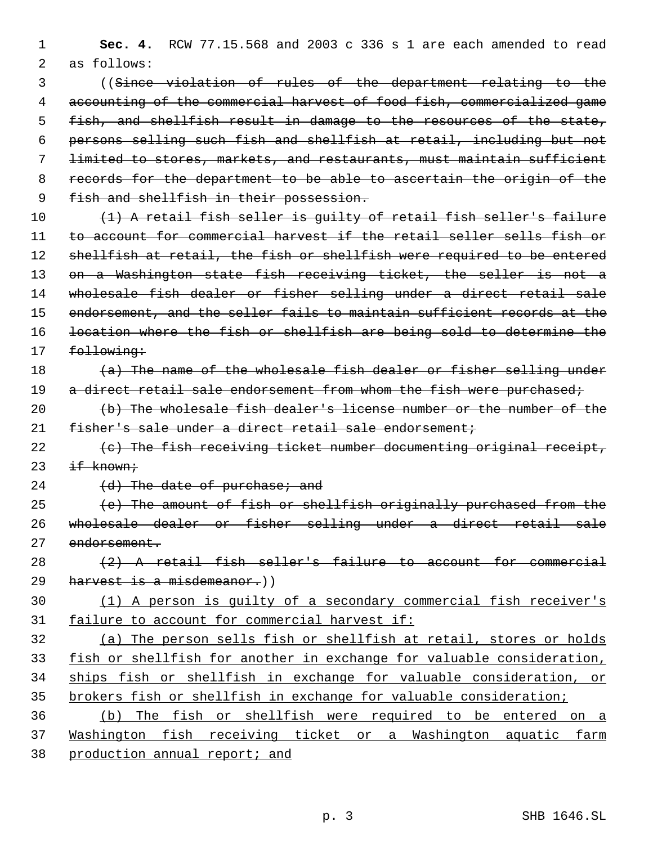**Sec. 4.** RCW 77.15.568 and 2003 c 336 s 1 are each amended to read as follows:

 ((Since violation of rules of the department relating to the accounting of the commercial harvest of food fish, commercialized game fish, and shellfish result in damage to the resources of the state, persons selling such fish and shellfish at retail, including but not limited to stores, markets, and restaurants, must maintain sufficient records for the department to be able to ascertain the origin of the 9 fish and shellfish in their possession.

10 (1) A retail fish seller is quilty of retail fish seller's failure to account for commercial harvest if the retail seller sells fish or 12 shellfish at retail, the fish or shellfish were required to be entered 13 on a Washington state fish receiving ticket, the seller is not a wholesale fish dealer or fisher selling under a direct retail sale endorsement, and the seller fails to maintain sufficient records at the location where the fish or shellfish are being sold to determine the 17 following:

# $(a)$  The name of the wholesale fish dealer or fisher selling under 19 a direct retail sale endorsement from whom the fish were purchased;

 (b) The wholesale fish dealer's license number or the number of the fisher's sale under a direct retail sale endorsement;

- 22  $(e)$  The fish receiving ticket number documenting original receipt,  $if$  known $\dot{r}$
- 24 (d) The date of purchase; and

 $(e)$  The amount of fish or shellfish originally purchased from the wholesale dealer or fisher selling under a direct retail sale endorsement.

## 28  $(2)$  A retail fish seller's failure to account for commercial harvest is a misdemeanor.))

# (1) A person is guilty of a secondary commercial fish receiver's 31 failure to account for commercial harvest if:

 (a) The person sells fish or shellfish at retail, stores or holds 33 fish or shellfish for another in exchange for valuable consideration, ships fish or shellfish in exchange for valuable consideration, or brokers fish or shellfish in exchange for valuable consideration;

 (b) The fish or shellfish were required to be entered on a Washington fish receiving ticket or a Washington aquatic farm production annual report; and